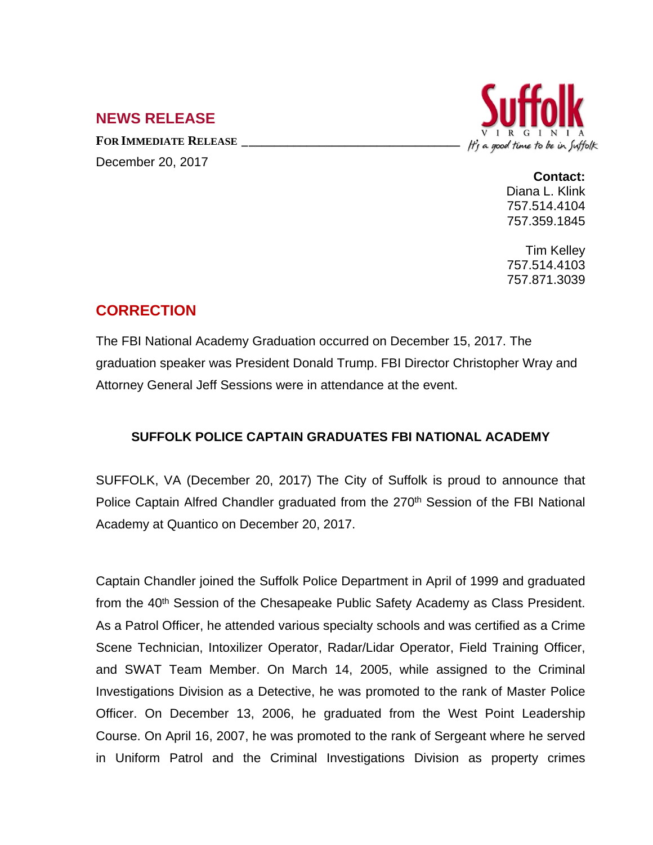## **NEWS RELEASE**

**FOR IMMEDIATE RELEASE \_\_\_\_\_\_\_\_\_\_\_\_\_\_\_\_\_\_\_\_\_\_\_\_\_\_\_\_\_\_\_\_\_\_**





## **Contact:**

Diana L. Klink 757.514.4104 757.359.1845

Tim Kelley 757.514.4103 757.871.3039

## **CORRECTION**

The FBI National Academy Graduation occurred on December 15, 2017. The graduation speaker was President Donald Trump. FBI Director Christopher Wray and Attorney General Jeff Sessions were in attendance at the event.

## **SUFFOLK POLICE CAPTAIN GRADUATES FBI NATIONAL ACADEMY**

SUFFOLK, VA (December 20, 2017) The City of Suffolk is proud to announce that Police Captain Alfred Chandler graduated from the 270<sup>th</sup> Session of the FBI National Academy at Quantico on December 20, 2017.

Captain Chandler joined the Suffolk Police Department in April of 1999 and graduated from the 40<sup>th</sup> Session of the Chesapeake Public Safety Academy as Class President. As a Patrol Officer, he attended various specialty schools and was certified as a Crime Scene Technician, Intoxilizer Operator, Radar/Lidar Operator, Field Training Officer, and SWAT Team Member. On March 14, 2005, while assigned to the Criminal Investigations Division as a Detective, he was promoted to the rank of Master Police Officer. On December 13, 2006, he graduated from the West Point Leadership Course. On April 16, 2007, he was promoted to the rank of Sergeant where he served in Uniform Patrol and the Criminal Investigations Division as property crimes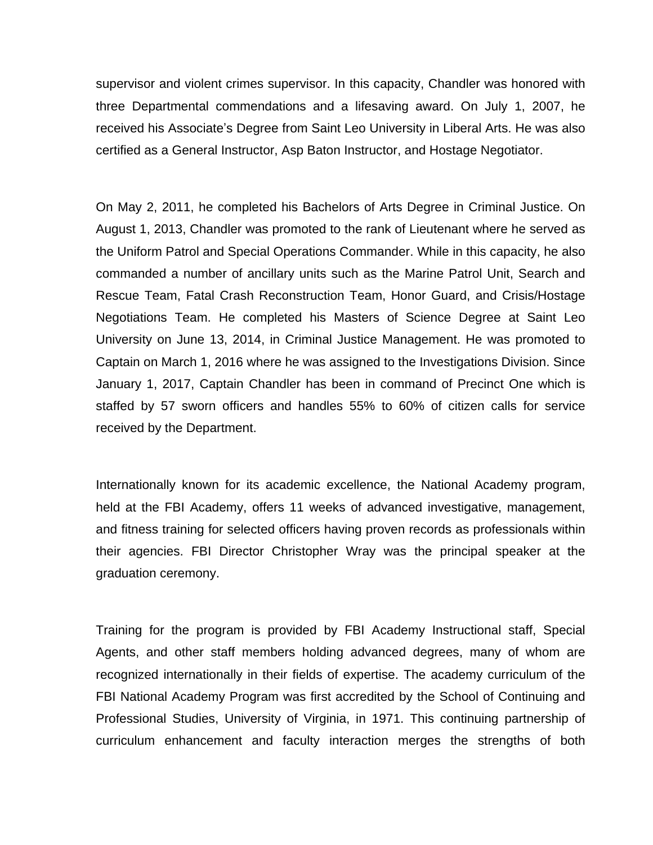supervisor and violent crimes supervisor. In this capacity, Chandler was honored with three Departmental commendations and a lifesaving award. On July 1, 2007, he received his Associate's Degree from Saint Leo University in Liberal Arts. He was also certified as a General Instructor, Asp Baton Instructor, and Hostage Negotiator.

On May 2, 2011, he completed his Bachelors of Arts Degree in Criminal Justice. On August 1, 2013, Chandler was promoted to the rank of Lieutenant where he served as the Uniform Patrol and Special Operations Commander. While in this capacity, he also commanded a number of ancillary units such as the Marine Patrol Unit, Search and Rescue Team, Fatal Crash Reconstruction Team, Honor Guard, and Crisis/Hostage Negotiations Team. He completed his Masters of Science Degree at Saint Leo University on June 13, 2014, in Criminal Justice Management. He was promoted to Captain on March 1, 2016 where he was assigned to the Investigations Division. Since January 1, 2017, Captain Chandler has been in command of Precinct One which is staffed by 57 sworn officers and handles 55% to 60% of citizen calls for service received by the Department.

Internationally known for its academic excellence, the National Academy program, held at the FBI Academy, offers 11 weeks of advanced investigative, management, and fitness training for selected officers having proven records as professionals within their agencies. FBI Director Christopher Wray was the principal speaker at the graduation ceremony.

Training for the program is provided by FBI Academy Instructional staff, Special Agents, and other staff members holding advanced degrees, many of whom are recognized internationally in their fields of expertise. The academy curriculum of the FBI National Academy Program was first accredited by the School of Continuing and Professional Studies, University of Virginia, in 1971. This continuing partnership of curriculum enhancement and faculty interaction merges the strengths of both